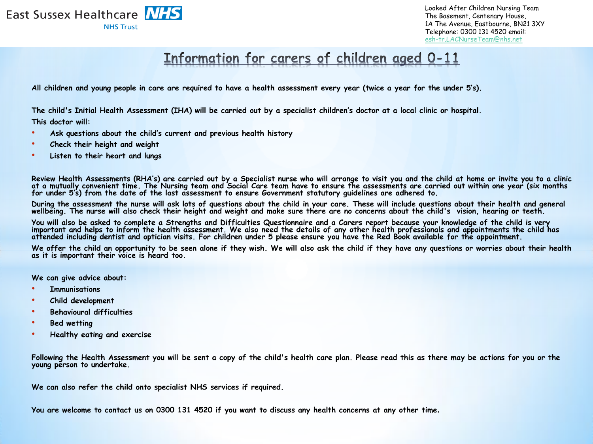

## Information for carers of children aged 0-11

**All children and young people in care are required to have a health assessment every year (twice a year for the under 5's).**

**The child's Initial Health Assessment (IHA) will be carried out by a specialist children's doctor at a local clinic or hospital.**

**This doctor will:**

- **Ask questions about the child's current and previous health history**
- **Check their height and weight**
- **Listen to their heart and lungs**

**Review Health Assessments (RHA's) are carried out by a Specialist nurse who will arrange to visit you and the child at home or invite you to a clinic at a mutually convenient time. The Nursing team and Social Care team have to ensure the assessments are carried out within one year (six months for under 5's) from the date of the last assessment to ensure Government statutory guidelines are adhered to.** 

**During the assessment the nurse will ask lots of questions about the child in your care. These will include questions about their health and general wellbeing. The nurse will also check their height and weight and make sure there are no concerns about the child's vision, hearing or teeth.** 

**You will also be asked to complete a Strengths and Difficulties Questionnaire and a Carers report because your knowledge of the child is very important and helps to inform the health assessment. We also need the details of any other health professionals and appointments the child has attended including dentist and optician visits. For children under 5 please ensure you have the Red Book available for the appointment.** 

**We offer the child an opportunity to be seen alone if they wish. We will also ask the child if they have any questions or worries about their health as it is important their voice is heard too.**

**We can give advice about:**

- **Immunisations**
- **Child development**
- **Behavioural difficulties**
- **Bed wetting**
- **Healthy eating and exercise**

**Following the Health Assessment you will be sent a copy of the child's health care plan. Please read this as there may be actions for you or the young person to undertake.** 

**We can also refer the child onto specialist NHS services if required.**

**You are welcome to contact us on 0300 131 4520 if you want to discuss any health concerns at any other time.**